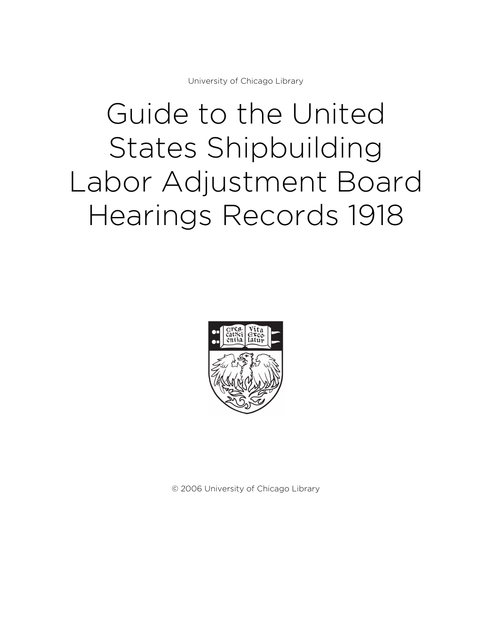University of Chicago Library

# Guide to the United States Shipbuilding Labor Adjustment Board Hearings Records 1918



© 2006 University of Chicago Library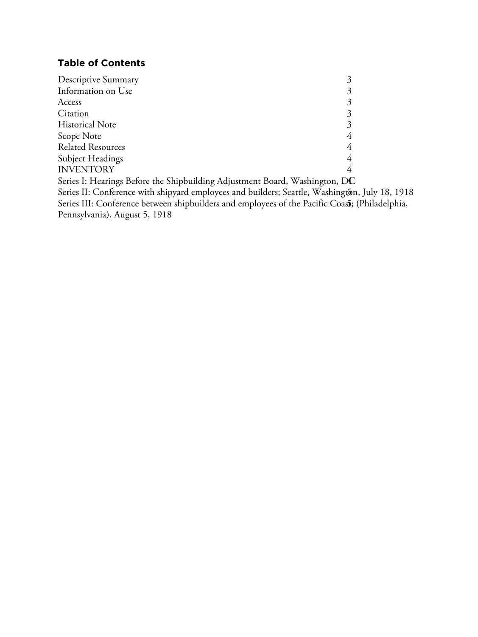# **Table of Contents**

| Descriptive Summary                                                                             | 3 |
|-------------------------------------------------------------------------------------------------|---|
| Information on Use                                                                              | 3 |
| Access                                                                                          | 3 |
| Citation                                                                                        | 3 |
| <b>Historical Note</b>                                                                          | 3 |
| Scope Note                                                                                      | 4 |
| <b>Related Resources</b>                                                                        | 4 |
| Subject Headings                                                                                | 4 |
| <b>INVENTORY</b>                                                                                |   |
| Series I: Hearings Before the Shipbuilding Adjustment Board, Washington, DC                     |   |
| Series II: Conference with shipyard employees and builders; Seattle, Washington, July 18, 1918  |   |
| Series III: Conference between shipbuilders and employees of the Pacific Coasts; (Philadelphia, |   |
|                                                                                                 |   |

Pennsylvania), August 5, 1918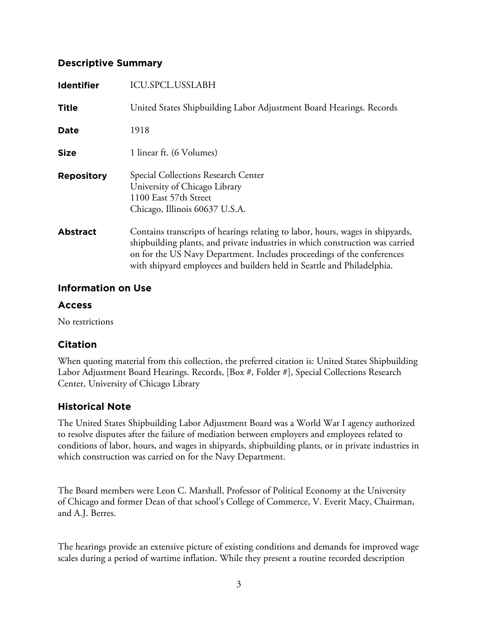#### **Descriptive Summary**

| <b>Identifier</b> | ICU.SPCL.USSLABH                                                                                                                                                                                                                                                                                                    |  |
|-------------------|---------------------------------------------------------------------------------------------------------------------------------------------------------------------------------------------------------------------------------------------------------------------------------------------------------------------|--|
| <b>Title</b>      | United States Shipbuilding Labor Adjustment Board Hearings. Records                                                                                                                                                                                                                                                 |  |
| Date              | 1918                                                                                                                                                                                                                                                                                                                |  |
| <b>Size</b>       | 1 linear ft. (6 Volumes)                                                                                                                                                                                                                                                                                            |  |
| <b>Repository</b> | Special Collections Research Center<br>University of Chicago Library<br>1100 East 57th Street<br>Chicago, Illinois 60637 U.S.A.                                                                                                                                                                                     |  |
| <b>Abstract</b>   | Contains transcripts of hearings relating to labor, hours, wages in shipyards,<br>shipbuilding plants, and private industries in which construction was carried<br>on for the US Navy Department. Includes proceedings of the conferences<br>with shipyard employees and builders held in Seattle and Philadelphia. |  |

#### **Information on Use**

#### **Access**

No restrictions

## **Citation**

When quoting material from this collection, the preferred citation is: United States Shipbuilding Labor Adjustment Board Hearings. Records, [Box #, Folder #], Special Collections Research Center, University of Chicago Library

## **Historical Note**

The United States Shipbuilding Labor Adjustment Board was a World War I agency authorized to resolve disputes after the failure of mediation between employers and employees related to conditions of labor, hours, and wages in shipyards, shipbuilding plants, or in private industries in which construction was carried on for the Navy Department.

The Board members were Leon C. Marshall, Professor of Political Economy at the University of Chicago and former Dean of that school's College of Commerce, V. Everit Macy, Chairman, and A.J. Berres.

The hearings provide an extensive picture of existing conditions and demands for improved wage scales during a period of wartime inflation. While they present a routine recorded description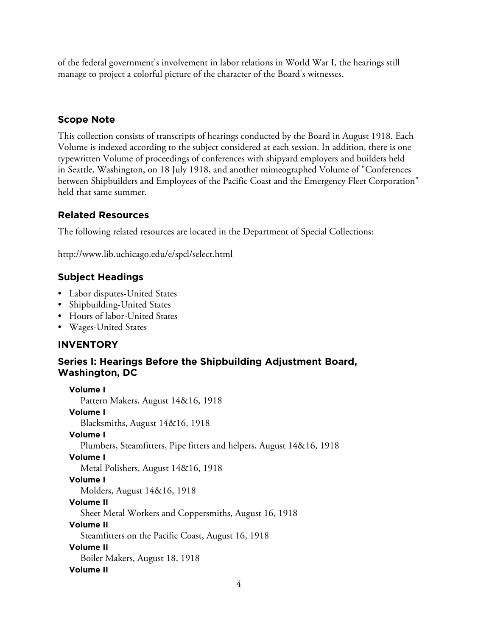of the federal government's involvement in labor relations in World War I, the hearings still manage to project a colorful picture of the character of the Board's witnesses.

# **Scope Note**

This collection consists of transcripts of hearings conducted by the Board in August 1918. Each Volume is indexed according to the subject considered at each session. In addition, there is one typewritten Volume of proceedings of conferences with shipyard employers and builders held in Seattle, Washington, on 18 July 1918, and another mimeographed Volume of "Conferences between Shipbuilders and Employees of the Pacific Coast and the Emergency Fleet Corporation" held that same summer.

# **Related Resources**

The following related resources are located in the Department of Special Collections:

http://www.lib.uchicago.edu/e/spcl/select.html

# **Subject Headings**

- Labor disputes-United States
- Shipbuilding-United States
- Hours of labor-United States
- Wages-United States

## **INVENTORY**

## **Series I: Hearings Before the Shipbuilding Adjustment Board, Washington, DC**

**Volume I** Pattern Makers, August 14&16, 1918 **Volume I** Blacksmiths, August 14&16, 1918 **Volume I** Plumbers, Steamfitters, Pipe fitters and helpers, August 14&16, 1918 **Volume I** Metal Polishers, August 14&16, 1918 **Volume I** Molders, August 14&16, 1918 **Volume II** Sheet Metal Workers and Coppersmiths, August 16, 1918 **Volume II** Steamfitters on the Pacific Coast, August 16, 1918 **Volume II** Boiler Makers, August 18, 1918 **Volume II**